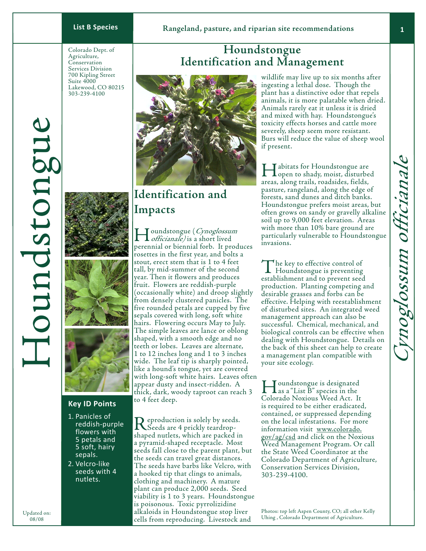**Houndstongue Identification and Management**

Colorado Dept. of Agriculture, Conservation Services Division 700 Kipling Street Suite 4000 Lakewood, CO 80215 303-239-4100







#### **Key ID Points**

- 1. Panicles of reddish-purple flowers with 5 petals and 5 soft, hairy sepals.
- 2. Velcro-like seeds with 4 nutlets.

## **Identification and Impacts**

Houndstongue (Cynoglossum officianale) is a short lived perennial or biennial forb. It produces rosettes in the first year, and bolts a stout, erect stem that is 1 to 4 feet tall, by mid-summer of the second year. Then it flowers and produces fruit. Flowers are reddish-purple (occasionally white) and droop slightly from densely clustered panicles. The five rounded petals are cupped by five sepals covered with long, soft white hairs. Flowering occurs May to July. The simple leaves are lance or oblong shaped, with a smooth edge and no teeth or lobes. Leaves are alternate, 1 to 12 inches long and 1 to 3 inches wide. The leaf tip is sharply pointed, like a hound's tongue, yet are covered with long-soft white hairs. Leaves often appear dusty and insect-ridden. A thick, dark, woody taproot can reach 3 to 4 feet deep.

Reproduction is solely by seeds.<br>
Seeds are 4 prickly teardropshaped nutlets, which are packed in a pyramid-shaped receptacle. Most seeds fall close to the parent plant, but the seeds can travel great distances. The seeds have barbs like Velcro, with a hooked tip that clings to animals, clothing and machinery. A mature plant can produce 2,000 seeds. Seed viability is 1 to 3 years. Houndstongue is poisonous. Toxic pyrrolizidine alkaloids in Houndstongue stop liver cells from reproducing. Livestock and

wildlife may live up to six months after ingesting a lethal dose. Though the plant has a distinctive odor that repels animals, it is more palatable when dried. Animals rarely eat it unless it is dried and mixed with hay. Houndstongue's toxicity effects horses and cattle more severely, sheep seem more resistant. Burs will reduce the value of sheep wool if present.

**T** abitats for Houndstongue are **L** open to shady, moist, disturbed areas, along trails, roadsides, fields, pasture, rangeland, along the edge of forests, sand dunes and ditch banks. Houndstongue prefers moist areas, but often grows on sandy or gravelly alkaline soil up to 9,000 feet elevation. Areas with more than 10% bare ground are particularly vulnerable to Houndstongue invasions.

The key to effective control of Houndstongue is preventing establishment and to prevent seed production. Planting competing and desirable grasses and forbs can be effective. Helping with reestablishment of disturbed sites. An integrated weed management approach can also be successful. Chemical, mechanical, and biological controls can be effective when dealing with Houndstongue. Details on the back of this sheet can help to create a management plan compatible with your site ecology.

Houndstongue is designated as a "List B" species in the Colorado Noxious Weed Act. It is required to be either eradicated, contained, or suppressed depending on the local infestations. For more information visit www.colorado. gov/ag/csd and click on the Noxious Weed Management Program. Or call the State Weed Coordinator at the Colorado Department of Agriculture, Conservation Services Division, 303-239-4100.

Photos: top left Aspen County, CO; all other Kelly Uhing , Colorado Department of Agriculture.

Houndstongue

Ioundstongue